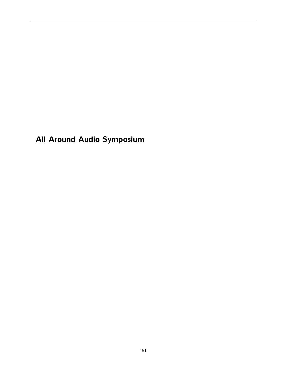All Around Audio Symposium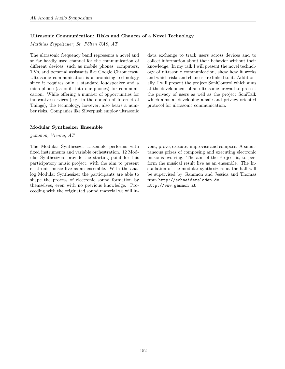# Ultrasonic Communication: Risks and Chances of a Novel Technology

Matthias Zeppelzauer, St. Pölten UAS, AT

The ultrasonic frequency band represents a novel and so far hardly used channel for the communication of different devices, such as mobile phones, computers, TVs, and personal assistants like Google Chromecast. Ultrasonic communication is a promising technology since it requires only a standard loudspeaker and a microphone (as built into our phones) for communication. While offering a number of opportunities for innovative services (e.g. in the domain of Internet of Things), the technology, however, also bears a number risks. Companies like Silverpush employ ultrasonic

### Modular Synthesizer Ensemble

gammon, Vienna, AT

The Modular Synthesizer Ensemble performs with fixed instruments and variable orchestration. 12 Modular Synthesizers provide the starting point for this participatory music project, with the aim to present electronic music live as an ensemble. With the analog Modular Synthesizer the participants are able to shape the process of electronic sound formation by themselves, even with no previous knowledge. Proceeding with the originated sound material we will indata exchange to track users across devices and to collect information about their behavior without their knowledge. In my talk I will present the novel technology of ultrasonic communication, show how it works and which risks and chances are linked to it. Additionally, I will present the project SoniControl which aims at the development of an ultrasonic firewall to protect the privacy of users as well as the project SoniTalk which aims at developing a safe and privacy-oriented protocol for ultrasonic communication.

vent, prove, execute, improvise and compose. A simultaneous prizes of composing and executing electronic music is evolving. The aim of the Project is, to perform the musical result live as an ensemble. The Installation of the modular synthesizers at the hall will be supervised by Gammon and Jessica and Thomas from <http://schneidersladen.de>. <http://www.gammon.at>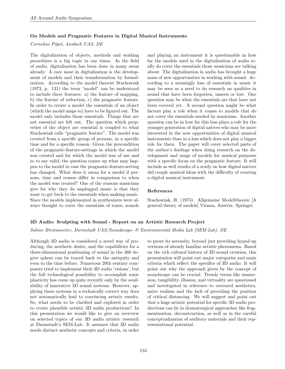## On Models and Pragmatic Features in Digital Musical Instruments

Cornelius Pöpel, Ansbach UAS, DE

The digitalization of objects, methods and working procedures is a big topic in our times. In the field of audio, digitalization has been done in many areas already. A core issue in digitalization is the development of models and their transformation by formalization. According to the model theorist Stachowiak (1973, p. 131) the term "model" can be understood to include three features: a) the feature of mapping, b) the feature of reduction, c) the pragmatic feature. In order to create a model the essentials of an object (which the model maps to) have to be figured out. The model only includes those essentials. Things that are not essential are left out. The question which properties of the object are essential is coupled to what Stachowiak calls "pragmatic feature". The model was created from a specific group of persons, in a specific time and for a specific reason. Given the precondition of the pragmatic-feature-settings in which the model was created and for which the model was of use and so to say valid, the question comes up what may happen to the model in case the pragmatic-feature-setting has changed. What does it mean for a model if persons, time and reason differ in comparison to when the model was created? One of the reasons musicians give for why they do unplugged music is that they want to get beck to the essentials when making music. Since the models implemented in synthesizers were always thought to cover the essentials of tones, sounds and playing an instrument it is questionable in how far the models used in the digitalization of audio really do cover the essentials those musicians are talking about. The digitalization in audio has brought a huge mass of new opportunities in working with sound. According to a seemingly loss of essentials in music it may be seen as a need to do research on qualities in sound that have been forgotten, unseen or lost. One question may be what the essentials are that have not been covered yet. A second question might be what factors play a role when it comes to models that do not cover the essentials needed by musicians. Another question can be in how far this loss plays a role for the younger generation of digital natives who may be more interested in the new opportunities of digital musical instruments than in a loss which does not play a bigger role for them. The paper will cover selected parts of the author's findings when doing research on the development and usage of models for musical purposes with a specific focus on the pragmatic feature. It will include as well results of a study on how digital natives did couple musical ideas with the difficulty of creating a digital musical instrument.

### References

Stachowiak, H. (1973). Allgemeine Modelltheorie [A general theory of models] Vienna, Austria: Springer.

# 3D Audio: Sculpting with Sound - Report on an Artistic Research Project

Sabine Breitsameter, Darmstadt UAS/Soundscape- & Environmental Media Lab (SEM-Lab), DE

Although 3D audio is considered a novel way of producing, the aesthetic desire, and the capabilities for a three-dimensional positioning of sound in the 360 degree sphere can be traced back to the antiquity and even to the time before. Numerous 20th century composers tried to implement their 3D audio 'visions', but the full technological possibility to accomplish sonic plasticity has come up quite recently only by the availability of innovative 3D sound systems. However, applying these systems in a technically correct way does not automatically lead to convincing artistic results. So, what needs to be clarified and explored in order to create plausible artistic 3D audio productions? In this presentation we would like to give an overview on selected topics of our 3D audio artistic research at Darmstadt's SEM-Lab. It assumes that 3D audio needs distinct aesthetic concepts and criteria, in order to prove its necessity, beyond just providing hyped-up versions of already familiar artistic phenomena. Based on the rich cultural history of 3D sound creation, this presentation will point out major categories and main criteria which reflect the specifics of 3D audio. It will point out why the approach given by the concept of soundscape can be crucial. Trendy terms like immersion, tangibility, illusion, and virtuality are questioned and investigated in reference to overused aesthetics, naive realism and the lack of providing the position of critical distancing. We will suggest and point out that a huge artistic potential for specific 3D audio productions can lie in dramaturgical approaches like fragmentization, deconstruction, as well as in the careful conceptualization of auditory materials and their representational potential.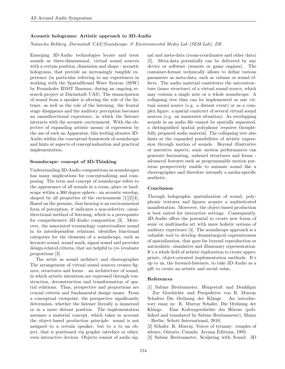### Acoustic holograms: Artistic approach to 3D-Audio

Natascha Rehberg, Darmstadt UAS/Soundscape- & Environmental Media Lab (SEM-Lab), DE

Emerging 3D-Audio technologies locate and treat sounds as three-dimensional, virtual sound sources with a certain position, dimension and shape - acoustic holograms, that provide an increasingly tangible experience (in particular referring to my experiences in working with the SpatialSound Wave System (SSW) by Fraunhofer IDMT Ilmenau, during an ongoing research project at Darmstadt UAS). The emancipation of sound from a speaker is altering the role of the listener, as well as the role of the listening: the frontal stage disappears and the auditory perception becomes an omnidirectional experience, in which the listener interacts with the acoustic environment. With the objective of expanding artistic means of expression by the use of such an Apparatus, this writing situates 3D-Audio within the conceptual framework of soundscape and hints at aspects of conceptualization and practical implementation.

#### Soundscape: concept of 3D-Thinking

Understanding 3D-Audio compositions as soundscapes has many implications for conceptualizing and composing. The term and concept of soundscape refers to the appearance of all sounds in a room, place or landscape within a 360 degree sphere - an acoustic envelop, shaped by all properties of the environment [1][2][4]. Based on the premise, that hearing is an environmental form of perception, it indicates a non-selective, omnidirectional method of listening, which is a prerequisite for comprehensive 3D-Audio composition [3]. Moreover, the associated terminology contextualizes sound in its interdependent relations, identifies functional categories for the elements of a soundscape, such as keynote sound, sound mark, signal sound and provides design-related criteria, that are helpful to (re-)evaluate proportions [3].

The artist as sound architect and choreographer The arrangement of virtual sound sources creates figures, structures and forms – an architecture of sound, in which artistic intentions are expressed through construction, deconstruction and transformation of spatial relations. Thus, perspective and proportions are crucial criteria and fundamental design issues. From a conceptual viewpoint, the perspective significantly determines, whether the listener literally is immersed or in a more distant position. The implementation assumes a material concept, which takes in account the object-based production principle: sound is not assigned to a certain speaker, but to a to an object, that is positioned via graphic interface or other, even interactive devices. Objects consist of audio signal and meta-data (room-coordinates and other data) [5]. Meta-data potentially can be delivered by any device or software (sensors or game engines). The container-format technically allows to define various parameter as meta-data, such as volume or sound effects. The audio material constitutes the microstructure (inner structure) of a virtual sound source, which may contain a single note or a whole soundscape. A collapsing tree thus can be implemented as one virtual sound source (e.g. a distant event) or as a complex figure: a spatial construct of several virtual sound sources (e.g. an immersive situation). As overlapping sounds in an audio file cannot be spatially separated, a distinguished spatial polyphony requires thoughtfully prepared audio material. The collapsing tree also hints at the expanded possibilities of artistic expression through motion of sounds. Beyond illustrative or narrative aspects, sonic motion performances can generate fascinating, unheard structures and forms advanced features such as programmable motion patterns prospectively enable to animate sound like a choreographer and therefore intensify a media-specific aesthetic.

### Conclusion

Through holographic spatialization of sound, polyphonic textures and figures acquire a sophisticated manifestation. Moreover, the object-based production is best suited for interactive settings. Consequently, 3D-Audio offers the potential to create new forms of sonic or multimedia art with more holistic notions of auditory experience [4]. The soundscape approach is a valuable tool to develop dramaturgical expressiveness of spatialization, that goes far beyond reproduction or naturalistic, simulative and illusionary representation. It's a whole field of artistic exploration to create appropriate, object-oriented implementation methods. It's up to us, the forward-listeners, to take 3D-Audio as a gift to create an artistic and social value.

#### References

[1] Sabine Breitsameter, Hörgestalt und Denkfigur – Zur Geschichte und Perspektive von R. Murray Schafers Die Ordnung der Klänge. An introductory essay in: R. Murray Schafer, Die Ordnung der Klänge. Eine Kulturgeschichte des Hörens (published and translated by Sabine Breitsameter), Mainz – Berlin: Schott International, 2010.

[2] Schafer, R. Murray, Voices of tyranny: temples of silence, Ontario, Canada: Arcana Editions, 1993.

[3] Sabine Breitsameter, Sculpting with Sound: 3D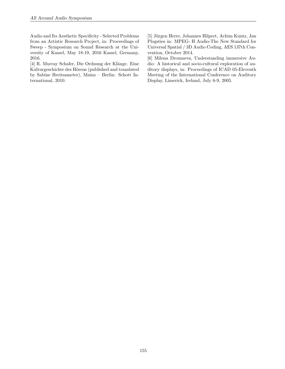Audio and Its Aesthetic Specificity - Selected Problems from an Artistic Research Project, in: Proceedings of Sweep - Symposium on Sound Research at the University of Kassel, May 18-19, 2016 Kassel, Germany, 2016.

[4] R. Murray Schafer, Die Ordnung der Klänge. Eine Kulturgeschichte des Hörens (published and translated by Sabine Breitsameter), Mainz – Berlin: Schott International, 2010.

[5] Jürgen Herre, Johannes Hilpert, Achim Kuntz, Jan Plogsties in: MPEG- H Audio-The New Standard for Universal Spatial / 3D Audio Coding, AES 137th Convention, October 2014.

[6] Milena Droumeva, Understanding immersive Audio: A historical and socio-cultural exploration of auditory displays, in: Proceedings of ICAD 05-Eleventh Meeting of the International Conference on Auditory Display, Limerick, Ireland, July 6-9, 2005.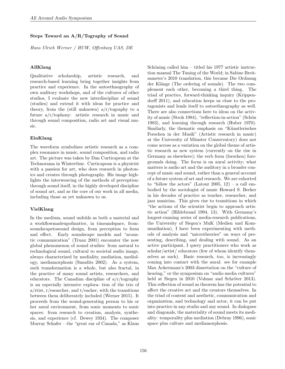## Steps Toward an A/R/Tography of Sound

Hans Ulrich Werner / HUW, Offenburg UAS, DE

## AllKlang

Qualitative scholarship, artistic research, and research-based learning bring together insights from practice and experience. In the autoethnography of own auditory workshops, and of the cultures of other studios, I evaluate the new interdiscipline of sound (studies) and extend it with ideas for practice and theory, from the (still unknown)  $a/r/tography$  to a future a/r/tophony: artistic research in music and through sound composition, radio art and visual music.

## EinKlang

The waveform symbolizes artistic research as a complex resonance in music, sound composition, and radio art. The picture was taken by Dan Curticapean at the Technorama in Winterthur. Curticapean is a physicist with a passion for art, who does research in photonics and creates through photography. His image highlights the interweaving of the methods of perception: through sound itself, in the highly developed discipline of sound art, and as the core of our work in all media, including those as yet unknown to us.

# VielKlang

In the medium, sound unfolds as both a material and a workflowmadeupofmatter, in timeandspace, fromsoundscapetosound design, from perception to form and effect. Early soundscape models and "acoustic communication" (Truax 2001) encounter the now global phenomenon of sound studies: from natural to technological sound, cultural to societal audio image, always characterized by mediality, mediation, mediology, mediamorphosis (Smudits 2002). As a system, such transformation is a whole, but also fractal, in the practice of many sound artists, researchers, and educators. The Canadian discipline of a/r/tography is an especially intensive explora- tion of the trio of a/rtist, r/esearcher, and t/eacher, with the transitions between them deliberately included (Werner 2015). It proceeds from the sound-generating person to his or her aural environment, from sonic moments to sonic spaces: from research to creation, analysis, synthesis, and experience (cf. Dewey 1934). The composer Murray Schafer – the "great ear of Canada," as Klaus

Schöning called him – titled his 1977 artistic instruction manual The Tuning of the World; in Sabine Breitsameter's 2010 translation, this became Die Ordnung der Klänge (The ordering of sounds). The two complement each other, becoming a third thing. The triad of practice, forward-thinking inquiry (Krippendorff 2011), and education keeps us close to the protagonists and lends itself to autoethnography as well. There are also connections here to ideas on the activity of music (Stroh 1984), "reflection-in-action" (Schön 1983), and learning through research (Huber 1970). Similarly, the thematic emphasis on "Künstlerisches" Forschen in der Musik" (Artistic research in music) at the University of Münster Conservatory) does not come across as a variation on the global theme of artistic research as new system (currently on the rise in Germany as elsewhere); the verb form (forschen) foregrounds doing. The focus is on aural activity; what matters is audio art and the auditory in a broader concept of music and sound, rather than a general account of a future system of art and research. We are exhorted to "follow the actors" (Latour 2005, 12) – a call embodied by the sociologist of music Howard S. Becker in his decades of practice as teacher, researcher, and jazz musician. This gives rise to transitions in which "the actions of the scientist begin to approach artistic action" (Hildebrand 1994, 13). With Germany's longest-running series of media-research publications, the University of Siegen's MuK (Medien und Kommunikation), I have been experimenting with methods of analysis and "microtheories" on ways of presenting, describing, and dealing with sound. As an active participant, I query practitioners who work as scholar/artist/ educators (few of whom identify themselves as such). Basic research, too, is increasingly coming into contact with the aural: see for example Max Ackermann's 2003 dissertation on the "culture of hearing," or the symposium on "audio media cultures" held at Siegen in 2010 (Volmar and Schröter 2013). This reflection of sound as theorem has the potential to affect the creative act and the creators themselves. In the triad of content and aesthetic, communication and organization, and technology and actor, it can be put into practice in any studio and any sound. In dialogues and diagonals, the materiality of sound meets its mediality: temporality plus mediation (Debray 1996), sonic space plus culture and mediamorphosis.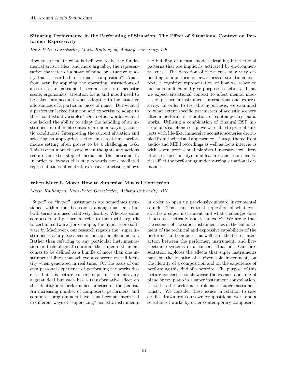# Situating Performance in the Performing of Situation: The Effect of Situational Context on Performer Expressivity

Hans-Peter Gasselseder, Maria Kallionpää, Aalborg University, DK

How to articulate what is believed to be the fundamental artistic idea, and more arguably, the representative character of a state of mind or situative quality that is ascribed to a music composition? Apart from actually applying the operating instructions of a score to an instrument, several aspects of acoustic scene, ergonomics, attention focus and mood need to be taken into account when adapting to the situative affordances of a particular piece of music. But what if a performer lacked intuition and expertise to adapt to these contextual variables? Or in other words, what if one lacked the ability to adapt the handling of an instrument in different contexts or under varying acoustic conditions? Interpreting the current situation and selecting an appropriate action in a real-time performance setting often proves to be a challenging task. This is even more the case when thoughts and actions require an extra step of mediation [the instrument]. In order to bypass this step towards non- mediated representations of control, extensive practising allows

the building of mental models detailing interactional patterns that are implicitly activated by environmental cues. The detection of these cues may vary depending on a performers' awareness of situational context; a cognitive representation of how we relate to our surroundings and give purpose to actions. Thus, we expect situational context to affect mental models of performer-instrument interactions and expressivity. In order to test this hypothesis, we examined to what extent specific parameters of acoustic scenery alter a performers' rendition of contemporary piano works. Utilising a combination of binaural DSP microphone/earphone setup, we were able to present subjects with life-like, immersive acoustic sceneries decoupled from their visual appearance. Data gathered from audio- and MIDI recordings as well as focus interviews with seven professional pianists illustrate how alterations of spectral- dynamic features and room acoustics affect the performing under varying situational demands.

### When More is More: How to Supersize Musical Expression

Maria Kallionpaa, Hans-Peter Gasselseder, Aalborg University, DK

"Super" or "hyper" instruments are sometimes mentioned within the discussions among musicians but both terms are used relatively flexibly. Whereas some composers and performers refer to them with regards to certain software (for example, the hyper score software by Machover), our research regards the "super instrument" as a piece-specific concept or phenomenon. Rather than referring to any particular instrumentation or technological solution, the super instrument comes to be defined as a bundle of more than one instrumental lines that achieve a coherent overall identity when generated in real time. On the basis of our own personal experience of performing the works discussed at this lecture concert, super instruments vary a great deal but each has a transformative effect on the identity and performance practice of the pianist. An increasing number of composers, performers, and computer programmers have thus become interested in different ways of "supersizing" acoustic instruments

in order to open up previously-unheard instrumental sounds. This leads us to the question of what constitutes a super instrument and what challenges does it pose aesthetically and technically? We argue that the essence of the super instrument lies in the enhancement of the technical and expressive capabilities of the performer and composer, as well as in the better interaction between the performer, instrument, and liveelectronic systems in a concert situation. Our presentation explores the effects that super instruments have on the identity of a given solo instrument, on the identity of a composition and on the experience of performing this kind of repertoire. The purpose of this lecture concert is to showcase the essence and role of piano or toy piano in a super instrument constellation, as well as the performer's role as a "super instrumentalist". We consider these issues in relation to case studies drawn from our own compositional work and a selection of works by other contemporary composers.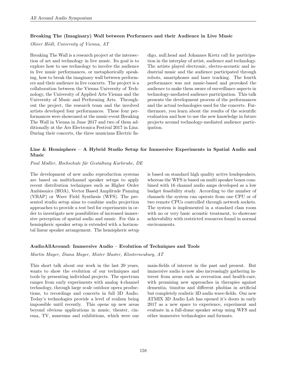## Breaking The (Imaginary) Wall between Performers and their Audience in Live Music

Oliver Hödl, University of Vienna, AT

Breaking The Wall is a research project at the intersection of art and technology in live music. Its goal is to explore how to use technology to involve the audience in live music performances, or metaphorically speaking, how to break the imaginary wall between performers and their audience in live concerts. The project is a collaboration between the Vienna University of Technology, the University of Applied Arts Vienna and the University of Music and Performing Arts. Throughout the project, the research team and the involved artists developed four performances. These four performances were showcased at the music-event Breaking The Wall in Vienna in June 2017 and two of them additionally at the Ars Electronica Festival 2017 in Linz. During their concerts, the three musicians Electric Indigo, null.head and Johannes Kretz call for participation in the interplay of artist, audience and technology. The artists played electronic, electro-acoustic and industrial music and the audience participated through robots, smartphones and laser tracking. The fourth performance was not music-based and provoked the audience to make them aware of surveillance aspects in technology-mediated audience participation. This talk presents the development process of the performances and the actual technologies used for the concerts. Furthermore, you learn about the results of the scientific evaluation and how to use the new knowledge in future projects around technology-mediated audience participation.

# Line & Hemisphere – A Hybrid Studio Setup for Immersive Experiments in Spatial Audio and Music

#### Paul Modler, Hochschule für Gestaltung Karlsruhe, DE

The development of new audio reproduction systems are based on multichannel speaker setups to apply recent distribution techniques such as Higher Order Ambisonics (HOA), Vector Based Amplitude Panning (VBAP) or Wave Field Synthesis (WFS). The presented studio setup aims to combine audio projection approaches to provide a test bed for experiments in order to investigate new possibilities of increased immersive perception of spatial audio and music. For this a hemispheric speaker setup is extended with a horizontal linear speaker arrangement. The hemispheric setup is based on standard high quality active loudspeakers, whereas the WFS is based on multi speaker boxes combined with 16 channel audio amps developed as a low budget feasibility study. According to the number of channels the system can operate from one CPU or of two remote CPUs controlled through network sockets. The system is implemented in a standard class room with no or very basic acoustic treatment, to showcase achievability with restricted resources found in normal environments.

# AudioAllAround: Immersive Audio – Evolution of Techniques and Tools

Martin Mayer, Diana Mayer, Mister Master, Klosterneuburg, AT

This short talk about our work in the last 20 years, wants to show the evolution of our techniques and tools by presenting individual projects. The spectrum ranges from early experiments with analog 4-channel technology, through large scale outdoor opera productions, to recordings and concerts in full 3D Audio. Today's technologies provide a level of realism being impossible until recently. This opens up new areas beyond obvious applications in music, theater, cinema, TV, museums and exhibitions, which were our main-fields of interest in the past and present. But immersive audio is now also increasingly gathering interest from areas such as recreation and health-care, with promising new approaches in therapies against dementia, tinnitus and different phobias in artificial but completely realistic 3D audio wave-fields. Our new ATMIX 3D Audio Lab has opened it's doors in early 2017 as a new space to experience, experiment and evaluate in a full-dome speaker setup using WFS and other immersive technologies and formats.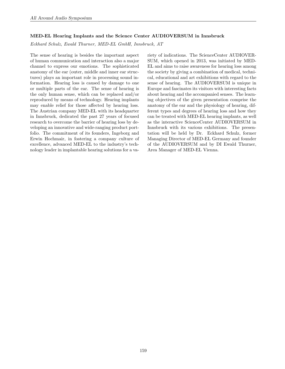### MED-EL Hearing Implants and the Science Center AUDIOVERSUM in Innsbruck

Eckhard Schulz, Ewald Thurner, MED-EL GmbH, Innsbruck, AT

The sense of hearing is besides the important aspect of human communication and interaction also a major channel to express our emotions. The sophisticated anatomy of the ear (outer, middle and inner ear structures) plays an important role in processing sound information. Hearing loss is caused by damage to one or multiple parts of the ear. The sense of hearing is the only human sense, which can be replaced and/or reproduced by means of technology. Hearing implants may enable relief for those affected by hearing loss. The Austrian company MED-EL with its headquarter in Innsbruck, dedicated the past 27 years of focused research to overcome the barrier of hearing loss by developing an innovative and wide-ranging product portfolio. The commitment of its founders, Ingeborg and Erwin Hochmair, in fostering a company culture of excellence, advanced MED-EL to the industry's technology leader in implantable hearing solutions for a variety of indications. The ScienceCenter AUDIOVER-SUM, which opened in 2013, was initiated by MED-EL and aims to raise awareness for hearing loss among the society by giving a combination of medical, technical, educational and art exhibitions with regard to the sense of hearing. The AUDIOVERSUM is unique in Europe and fascinates its visitors with interesting facts about hearing and the accompanied senses. The learning objectives of the given presentation comprise the anatomy of the ear and the physiology of hearing, different types and degrees of hearing loss and how they can be treated with MED-EL hearing implants, as well as the interactive ScienceCenter AUDIOVERSUM in Innsbruck with its various exhibitions. The presentation will be held by Dr. Eckhard Schulz, former Managing Director of MED-EL Germany and founder of the AUDIOVERSUM and by DI Ewald Thurner, Area Manager of MED-EL Vienna.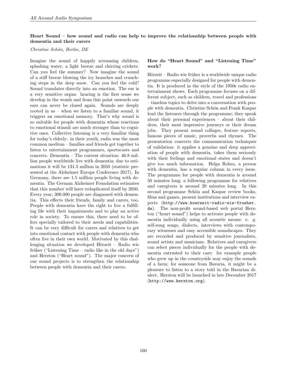# Heart Sound – how sound and radio can help to improve the relationship between people with dementia and their carers

### Christine Schön, Berlin, DE

Imagine the sound of happily screaming children, splashing water, a light breeze and chirring crickets. Can you feel the summer? Now imagine the sound of a stiff breeze blowing the icy branches and crunching steps in the deep snow. Can you feel the cold? Sound translates directly into an emotion. The ear is a very sensitive organ: hearing is the first sense we develop in the womb and from this point onwards our ears can never be closed again. Sounds are deeply rooted in us – when we listen to a familiar sound, it triggers an emotional memory. That's why sound is so suitable for people with dementia whose reactions to emotional stimuli are much stronger than to cognitive ones. Collective listening is a very familiar thing for today's elderly: in their youth, radio was the most common medium – families and friends got together to listen to entertainment programmes, sportscasts and concerts. Dementia – The current situation: 46.8 million people worldwide live with dementia; due to estimations it will be 131.5 million in 2050 (statistic presented at the Alzheimer Europe Conference 2017). In Germany, there are 1.5 million people living with dementia. The German Alzheimer Foundation estimates that this number will have reduplicated itself by 2050. Every year, 300.000 people are diagnosed with dementia. This effects their friends, family and carers, too. People with dementia have the right to live a fulfilling life with their impairments and to play an active role in society. To ensure this, there need to be offers specially tailored to their needs and capabilities. It can be very difficult for carers and relatives to get into emotional contact with people with dementia who often live in their own world. Motivated by this challenging situation we developed Hörzeit – Radio wie früher ("Listening Time – radio like in the old days") and Herzton ("Heart sound"). The major concern of our sound projects is to strengthen the relationship between people with dementia and their carers.

## How do "Heart Sound" and "Listening Time" work?

Hörzeit – Radio wie früher is a worldwide unique radio programme especially designed for people with dementia. It is produced in the style of the 1950s radio entertainment shows. Each programme focuses on a different subject, such as children, travel and professions – timeless topics to delve into a conversation with people with dementia. Christine Schön and Frank Kaspar lead the listeners through the programme; they speak about their personal experiences – about their children, their most impressive journeys or their dream jobs. They present sound collages, feature reports, famous pieces of music, proverbs and rhymes. The presentation converts the communication techniques of validation: it applies a genuine and deep appreciation of people with dementia, takes them seriously with their feelings and emotional states and doesn't give too much information. Helga Rohra, a person with dementia, has a regular column in every issue. The programme for people with dementia is around 50 minutes long; a following programme for relatives and caregivers is around 20 minutes long. In this second programme Schön and Kaspar review books, films and games, present institutions and interview experts ([http://www.hoerzeit-radio-wie-frueher.](http://www.hoerzeit-radio-wie-frueher.de) [de](http://www.hoerzeit-radio-wie-frueher.de)). The non-profit sound-based web portal Herzton ("heart sound") helps to activate people with dementia individually using all acoustic means: e. g. self-sung songs, dialects, interviews with contemporary witnesses and easy accessible soundscapes. They are recorded and produced by sensitive journalists, sound artists and musicians. Relatives and caregivers can select pieces individually for the people with dementia entrusted to their care: for example people who grew up in the countryside may enjoy the sounds of a farm; for someone from Bavaria, it might be a pleasure to listen to a story told in the Bavarian dialect. Herzton will be launched in late December 2017 (<http://www.herzton.org>).